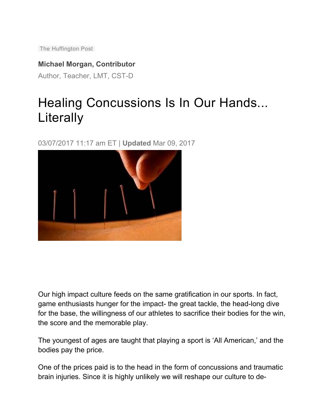The Huffington Post

**Michael Morgan, Contributor**  Author, Teacher, LMT, CST-D

## Healing Concussions Is In Our Hands... **Literally**

03/07/2017 11:17 am ET | **Updated** Mar 09, 2017



Our high impact culture feeds on the same gratification in our sports. In fact, game enthusiasts hunger for the impact- the great tackle, the head-long dive for the base, the willingness of our athletes to sacrifice their bodies for the win, the score and the memorable play.

The youngest of ages are taught that playing a sport is 'All American,' and the bodies pay the price.

One of the prices paid is to the head in the form of concussions and traumatic brain injuries. Since it is highly unlikely we will reshape our culture to de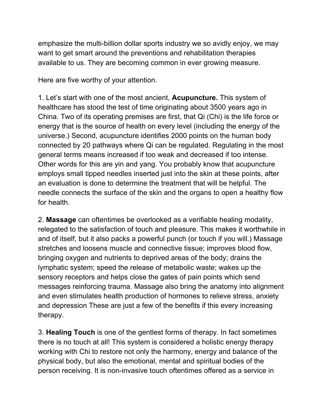emphasize the multi-billion dollar sports industry we so avidly enjoy, we may want to get smart around the preventions and rehabilitation therapies available to us. They are becoming common in ever growing measure.

Here are five worthy of your attention.

1. Let's start with one of the most ancient, **Acupuncture.** This system of healthcare has stood the test of time originating about 3500 years ago in China. Two of its operating premises are first, that Qi (Chi) is the life force or energy that is the source of health on every level (including the energy of the universe.) Second, acupuncture identifies 2000 points on the human body connected by 20 pathways where Qi can be regulated. Regulating in the most general terms means increased if too weak and decreased if too intense. Other words for this are yin and yang. You probably know that acupuncture employs small tipped needles inserted just into the skin at these points, after an evaluation is done to determine the treatment that will be helpful. The needle connects the surface of the skin and the organs to open a healthy flow for health.

2. **Massage** can oftentimes be overlooked as a verifiable healing modality, relegated to the satisfaction of touch and pleasure. This makes it worthwhile in and of itself, but it also packs a powerful punch (or touch if you will.) Massage stretches and loosens muscle and connective tissue; improves blood flow, bringing oxygen and nutrients to deprived areas of the body; drains the lymphatic system; speed the release of metabolic waste; wakes up the sensory receptors and helps close the gates of pain points which send messages reinforcing trauma. Massage also bring the anatomy into alignment and even stimulates health production of hormones to relieve stress, anxiety and depression These are just a few of the benefits if this every increasing therapy.

3. **Healing Touch** is one of the gentlest forms of therapy. In fact sometimes there is no touch at all! This system is considered a holistic energy therapy working with Chi to restore not only the harmony, energy and balance of the physical body, but also the emotional, mental and spiritual bodies of the person receiving. It is non-invasive touch oftentimes offered as a service in